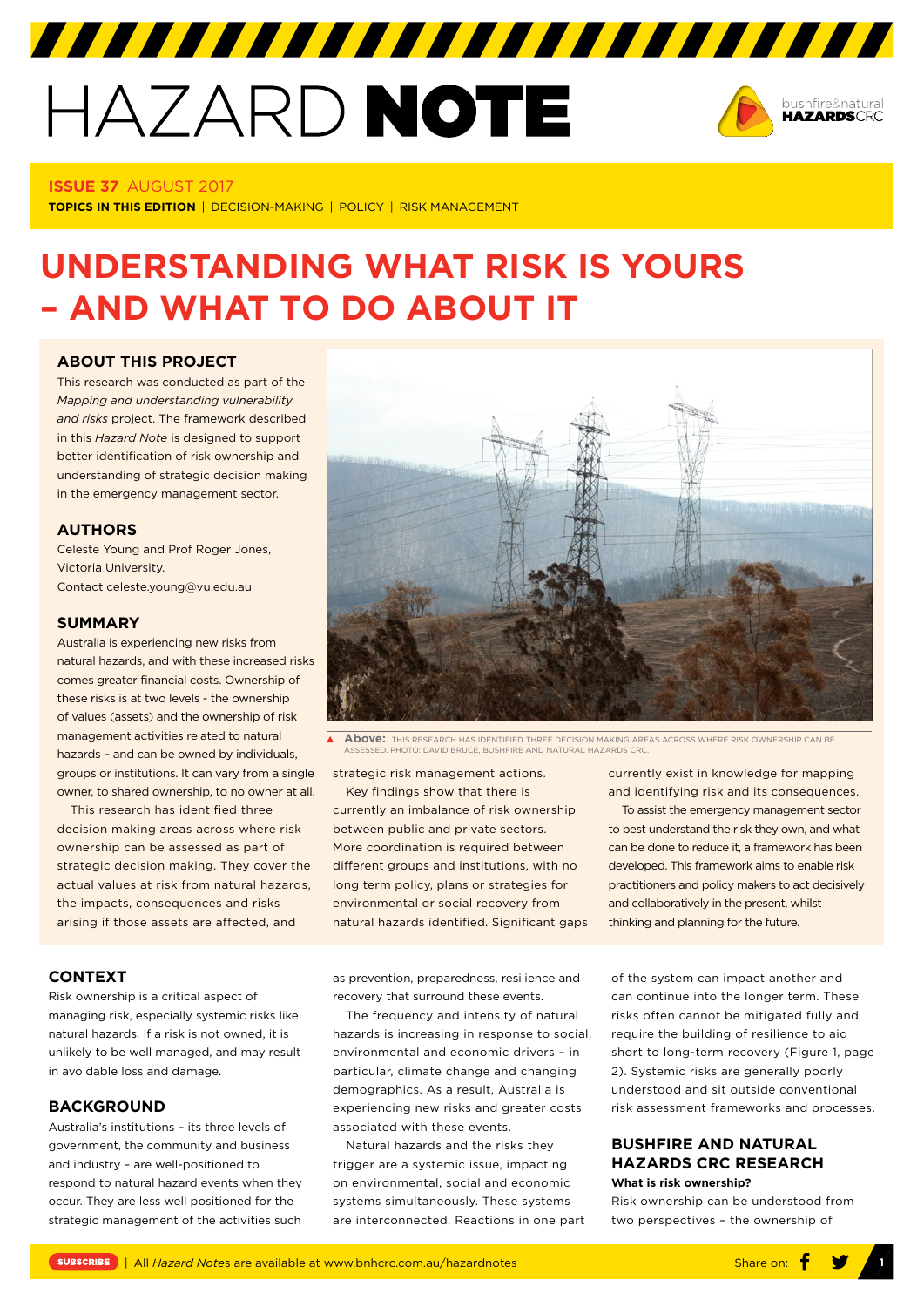# HAZARD NOTE



# **ISSUE 37** AUGUST 2017

**TOPICS IN THIS EDITION** | DECISION-MAKING | POLICY | RISK MANAGEMENT

# **UNDERSTANDING WHAT RISK IS YOURS – AND WHAT TO DO ABOUT IT**

# **[ABOUT THIS PROJECT](https://www.bnhcrc.com.au/research/policy-economics-hazards/250)**

This research was conducted as part of the *Mapping and understanding vulnerability and risks* project. The framework described in this *Hazard Note* is designed to support better identification of risk ownership and understanding of strategic decision making in the emergency management sector.

# **AUTHORS**

Celeste Young and Prof Roger Jones, Victoria University. Contact celeste.young@vu.edu.au

#### **SUMMARY**

Australia is experiencing new risks from natural hazards, and with these increased risks comes greater financial costs. Ownership of these risks is at two levels - the ownership of values (assets) and the ownership of risk management activities related to natural hazards – and can be owned by individuals, groups or institutions. It can vary from a single owner, to shared ownership, to no owner at all.

This research has identified three decision making areas across where risk ownership can be assessed as part of strategic decision making. They cover the actual values at risk from natural hazards, the impacts, consequences and risks arising if those assets are affected, and



**Above:** THIS RESEARCH HAS IDENTIFIED THREE DECISION MAKING AREAS ACROSS WHERE RISK OWNERSHIP CAN BE AND HELL WITH HE LEWING EXTINATE THREE EXTREMINISTICS.<br>PHOTO: DAVID BRUCE, BUSHFIRE AND NATURAL HAZARDS C

strategic risk management actions.

Key findings show that there is currently an imbalance of risk ownership between public and private sectors. More coordination is required between different groups and institutions, with no long term policy, plans or strategies for environmental or social recovery from natural hazards identified. Significant gaps currently exist in knowledge for mapping and identifying risk and its consequences.

To assist the emergency management sector to best understand the risk they own, and what can be done to reduce it, a framework has been developed. This framework aims to enable risk practitioners and policy makers to act decisively and collaboratively in the present, whilst thinking and planning for the future.

# **CONTEXT**

Risk ownership is a critical aspect of managing risk, especially systemic risks like natural hazards. If a risk is not owned, it is unlikely to be well managed, and may result in avoidable loss and damage.

#### **BACKGROUND**

Australia's institutions – its three levels of government, the community and business and industry – are well-positioned to respond to natural hazard events when they occur. They are less well positioned for the strategic management of the activities such as prevention, preparedness, resilience and recovery that surround these events.

The frequency and intensity of natural hazards is increasing in response to social environmental and economic drivers – in particular, climate change and changing demographics. As a result, Australia is experiencing new risks and greater costs associated with these events.

Natural hazards and the risks they trigger are a systemic issue, impacting on environmental, social and economic systems simultaneously. These systems are interconnected. Reactions in one part of the system can impact another and can continue into the longer term. These risks often cannot be mitigated fully and require the building of resilience to aid short to long-term recovery (Figure 1, page 2). Systemic risks are generally poorly understood and sit outside conventional risk assessment frameworks and processes.

# **BUSHFIRE AND NATURAL HAZARDS CRC RESEARCH What is risk ownership?**

Risk ownership can be understood from two perspectives – the ownership of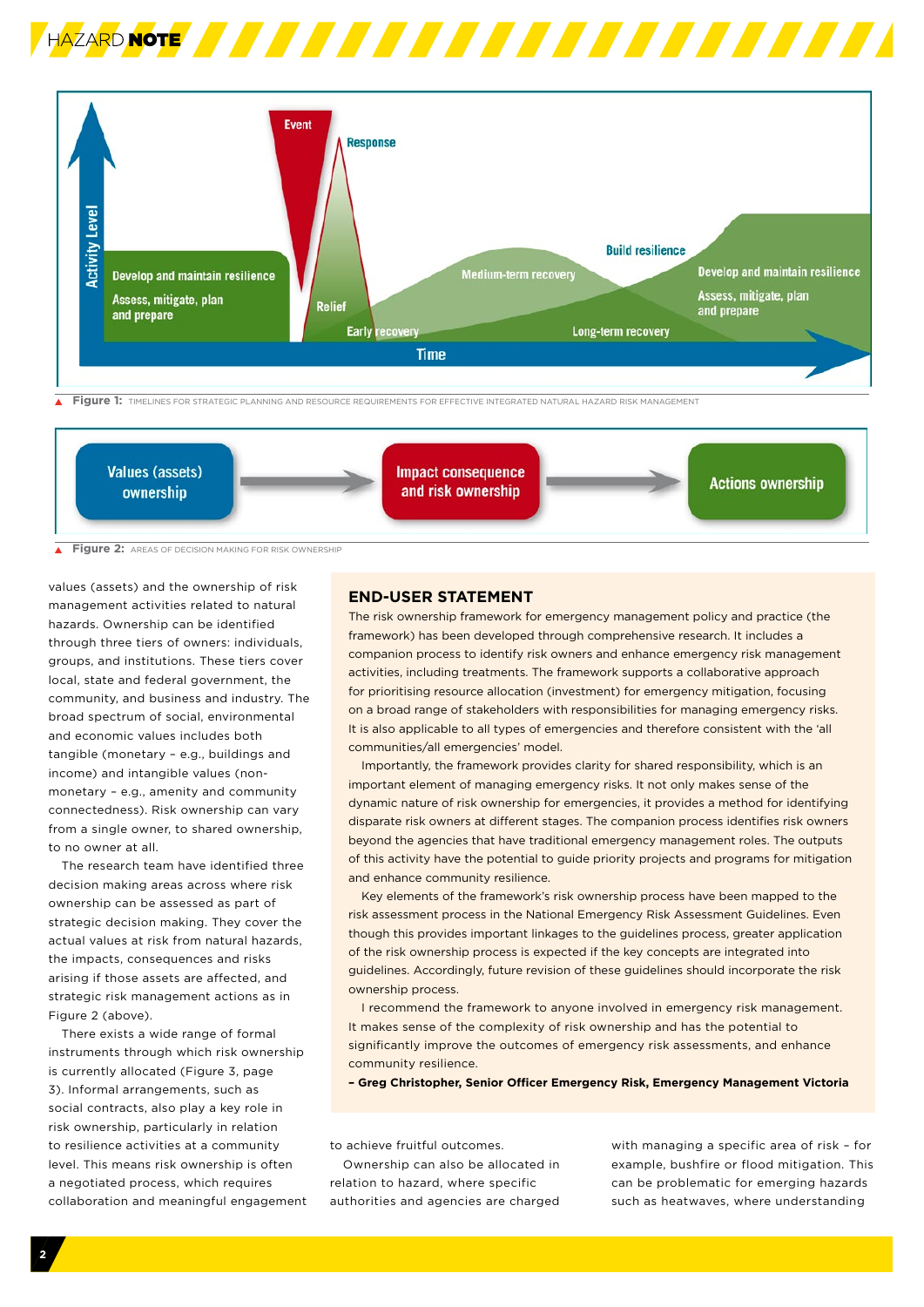



 $\overline{\blacktriangle}$ **Figure 1:** TIMELINES FOR STRATEGIC PLANNING AND RESOURCE REQUIREMENTS FOR EFFECTIVE INTEGRATED NATURAL HAZARD RISK MANAGEMENT



**Figure 2:** AREAS OF DECISION MAKING FOR RISK OWNERSHIP  $\overline{\blacktriangle}$ 

values (assets) and the ownership of risk management activities related to natural hazards. Ownership can be identified through three tiers of owners: individuals, groups, and institutions. These tiers cover local, state and federal government, the community, and business and industry. The broad spectrum of social, environmental and economic values includes both tangible (monetary – e.g., buildings and income) and intangible values (nonmonetary – e.g., amenity and community connectedness). Risk ownership can vary from a single owner, to shared ownership to no owner at all.

The research team have identified three decision making areas across where risk ownership can be assessed as part of strategic decision making. They cover the actual values at risk from natural hazards, the impacts, consequences and risks arising if those assets are affected, and strategic risk management actions as in Figure 2 (above).

There exists a wide range of formal instruments through which risk ownership is currently allocated (Figure 3, page 3). Informal arrangements, such as social contracts, also play a key role in risk ownership, particularly in relation to resilience activities at a community level. This means risk ownership is often a negotiated process, which requires collaboration and meaningful engagement

# **END-USER STATEMENT**

The risk ownership framework for emergency management policy and practice (the framework) has been developed through comprehensive research. It includes a companion process to identify risk owners and enhance emergency risk management activities, including treatments. The framework supports a collaborative approach for prioritising resource allocation (investment) for emergency mitigation, focusing on a broad range of stakeholders with responsibilities for managing emergency risks. It is also applicable to all types of emergencies and therefore consistent with the 'all communities/all emergencies' model.

Importantly, the framework provides clarity for shared responsibility, which is an important element of managing emergency risks. It not only makes sense of the dynamic nature of risk ownership for emergencies, it provides a method for identifying disparate risk owners at different stages. The companion process identifies risk owners beyond the agencies that have traditional emergency management roles. The outputs of this activity have the potential to guide priority projects and programs for mitigation and enhance community resilience.

Key elements of the framework's risk ownership process have been mapped to the risk assessment process in the National Emergency Risk Assessment Guidelines. Even though this provides important linkages to the guidelines process, greater application of the risk ownership process is expected if the key concepts are integrated into guidelines. Accordingly, future revision of these guidelines should incorporate the risk ownership process.

I recommend the framework to anyone involved in emergency risk management. It makes sense of the complexity of risk ownership and has the potential to significantly improve the outcomes of emergency risk assessments, and enhance community resilience.

**– Greg Christopher, Senior Officer Emergency Risk, Emergency Management Victoria** 

to achieve fruitful outcomes.

Ownership can also be allocated in relation to hazard, where specific authorities and agencies are charged

with managing a specific area of risk – for example, bushfire or flood mitigation. This can be problematic for emerging hazards such as heatwaves, where understanding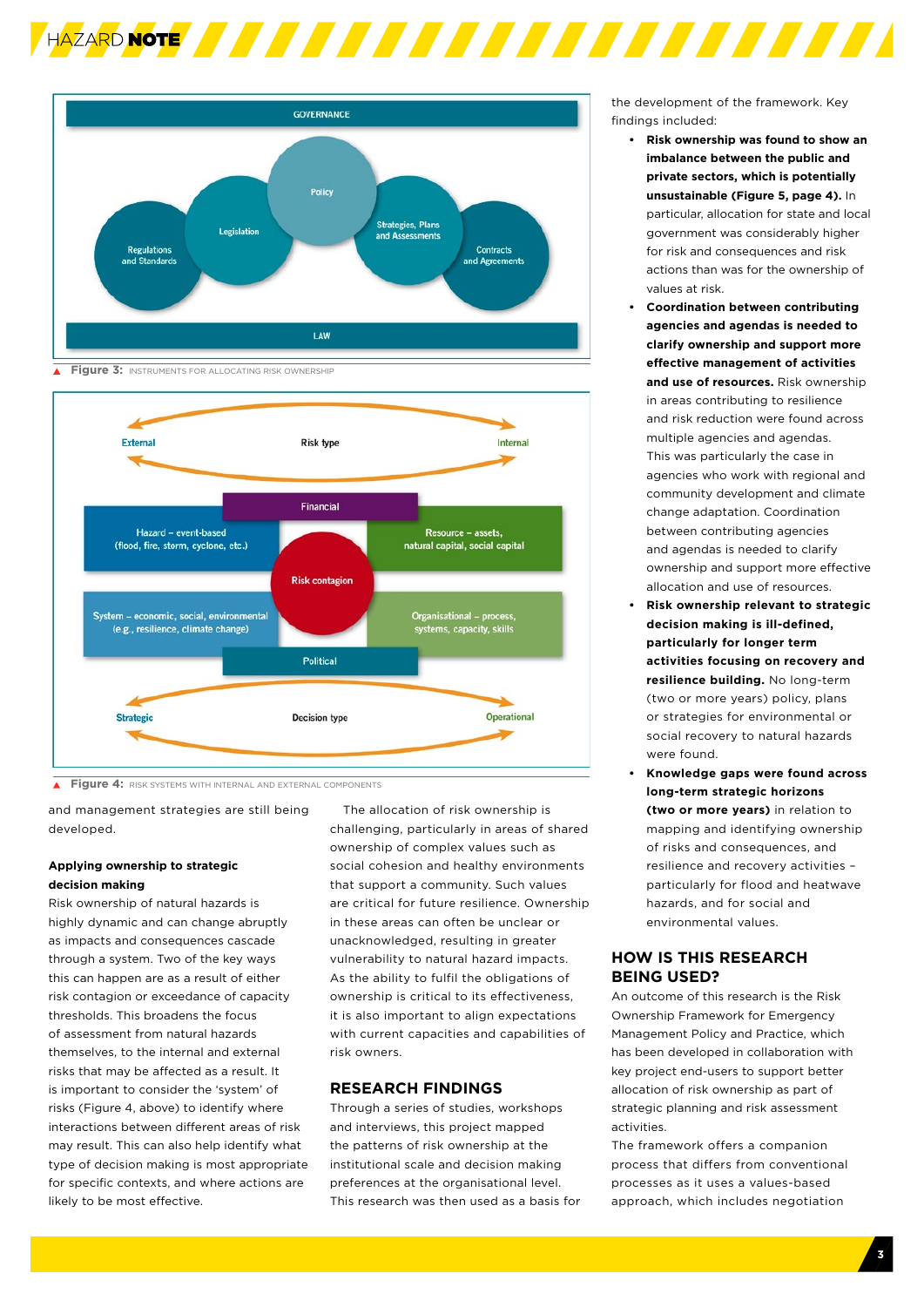



**Figure 3: INSTRUMENTS FOR ALLOCATING RISK OWNERSHIP** 



**Figure 4:** RISK SYSTEMS WITH INTERNAL AND EXTERNAL COMPONENTS

and management strategies are still being developed.

# **Applying ownership to strategic decision making**

Risk ownership of natural hazards is highly dynamic and can change abruptly as impacts and consequences cascade through a system. Two of the key ways this can happen are as a result of either risk contagion or exceedance of capacity thresholds. This broadens the focus of assessment from natural hazards themselves, to the internal and external risks that may be affected as a result. It is important to consider the 'system' of risks (Figure 4, above) to identify where interactions between different areas of risk may result. This can also help identify what type of decision making is most appropriate for specific contexts, and where actions are likely to be most effective.

The allocation of risk ownership is challenging, particularly in areas of shared ownership of complex values such as social cohesion and healthy environments that support a community. Such values are critical for future resilience. Ownership in these areas can often be unclear or unacknowledged, resulting in greater vulnerability to natural hazard impacts. As the ability to fulfil the obligations of ownership is critical to its effectiveness, it is also important to align expectations with current capacities and capabilities of risk owners.

# **RESEARCH FINDINGS**

Through a series of studies, workshops and interviews, this project mapped the patterns of risk ownership at the institutional scale and decision making preferences at the organisational level. This research was then used as a basis for the development of the framework. Key findings included:

- **• Risk ownership was found to show an imbalance between the public and private sectors, which is potentially unsustainable (Figure 5, page 4).** In particular, allocation for state and local government was considerably higher for risk and consequences and risk actions than was for the ownership of values at risk.
- **• Coordination between contributing agencies and agendas is needed to clarify ownership and support more effective management of activities and use of resources.** Risk ownership in areas contributing to resilience and risk reduction were found across multiple agencies and agendas. This was particularly the case in agencies who work with regional and community development and climate change adaptation. Coordination between contributing agencies and agendas is needed to clarify ownership and support more effective allocation and use of resources.
- **• Risk ownership relevant to strategic decision making is ill-defined, particularly for longer term activities focusing on recovery and resilience building.** No long-term (two or more years) policy, plans or strategies for environmental or social recovery to natural hazards were found.
- **• Knowledge gaps were found across long-term strategic horizons (two or more years)** in relation to mapping and identifying ownership of risks and consequences, and resilience and recovery activities – particularly for flood and heatwave hazards, and for social and environmental values.

# **HOW IS THIS RESEARCH BEING USED?**

An outcome of this research is the Risk Ownership Framework for Emergency Management Policy and Practice, which has been developed in collaboration with key project end-users to support better allocation of risk ownership as part of strategic planning and risk assessment activities.

The framework offers a companion process that differs from conventional processes as it uses a values-based approach, which includes negotiation